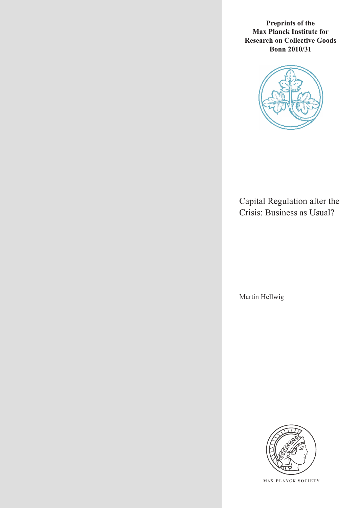**Preprints of the Max Planck Institute for Research on Collective Goods Bonn 2010/31**



# Capital Regulation after the Crisis: Business as Usual?

Martin Hellwig



**M AX P L A N C K S O C I E T Y**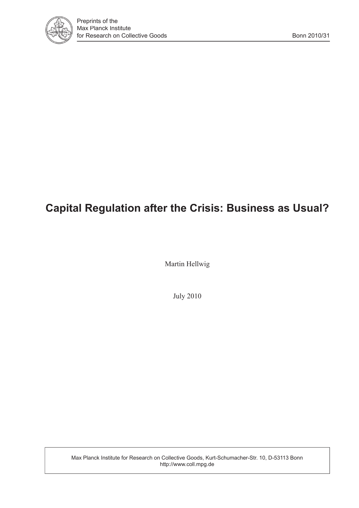

# **Capital Regulation after the Crisis: Business as Usual?**

Martin Hellwig

July 2010

Max Planck Institute for Research on Collective Goods, Kurt-Schumacher-Str. 10, D-53113 Bonn http://www.coll.mpg.de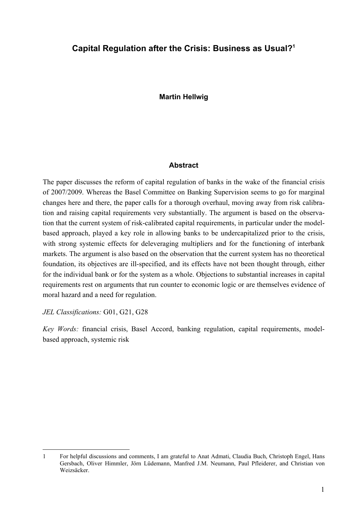#### **Capital Regulation after the Crisis: Business as Usual?1**

#### **Martin Hellwig**

#### **Abstract**

The paper discusses the reform of capital regulation of banks in the wake of the financial crisis of 2007/2009. Whereas the Basel Committee on Banking Supervision seems to go for marginal changes here and there, the paper calls for a thorough overhaul, moving away from risk calibration and raising capital requirements very substantially. The argument is based on the observation that the current system of risk-calibrated capital requirements, in particular under the modelbased approach, played a key role in allowing banks to be undercapitalized prior to the crisis, with strong systemic effects for deleveraging multipliers and for the functioning of interbank markets. The argument is also based on the observation that the current system has no theoretical foundation, its objectives are ill-specified, and its effects have not been thought through, either for the individual bank or for the system as a whole. Objections to substantial increases in capital requirements rest on arguments that run counter to economic logic or are themselves evidence of moral hazard and a need for regulation.

*JEL Classifications:* G01, G21, G28

-

*Key Words:* financial crisis, Basel Accord, banking regulation, capital requirements, modelbased approach, systemic risk

<sup>1</sup> For helpful discussions and comments, I am grateful to Anat Admati, Claudia Buch, Christoph Engel, Hans Gersbach, Oliver Himmler, Jörn Lüdemann, Manfred J.M. Neumann, Paul Pfleiderer, and Christian von Weizsäcker.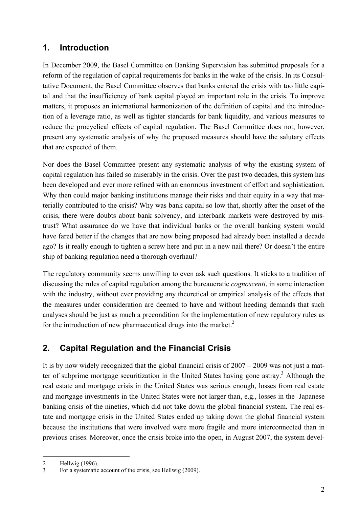# **1. Introduction**

In December 2009, the Basel Committee on Banking Supervision has submitted proposals for a reform of the regulation of capital requirements for banks in the wake of the crisis. In its Consultative Document, the Basel Committee observes that banks entered the crisis with too little capital and that the insufficiency of bank capital played an important role in the crisis. To improve matters, it proposes an international harmonization of the definition of capital and the introduction of a leverage ratio, as well as tighter standards for bank liquidity, and various measures to reduce the procyclical effects of capital regulation. The Basel Committee does not, however, present any systematic analysis of why the proposed measures should have the salutary effects that are expected of them.

Nor does the Basel Committee present any systematic analysis of why the existing system of capital regulation has failed so miserably in the crisis. Over the past two decades, this system has been developed and ever more refined with an enormous investment of effort and sophistication. Why then could major banking institutions manage their risks and their equity in a way that materially contributed to the crisis? Why was bank capital so low that, shortly after the onset of the crisis, there were doubts about bank solvency, and interbank markets were destroyed by mistrust? What assurance do we have that individual banks or the overall banking system would have fared better if the changes that are now being proposed had already been installed a decade ago? Is it really enough to tighten a screw here and put in a new nail there? Or doesn't the entire ship of banking regulation need a thorough overhaul?

The regulatory community seems unwilling to even ask such questions. It sticks to a tradition of discussing the rules of capital regulation among the bureaucratic *cognoscenti*, in some interaction with the industry, without ever providing any theoretical or empirical analysis of the effects that the measures under consideration are deemed to have and without heeding demands that such analyses should be just as much a precondition for the implementation of new regulatory rules as for the introduction of new pharmaceutical drugs into the market.<sup>2</sup>

# **2. Capital Regulation and the Financial Crisis**

It is by now widely recognized that the global financial crisis of  $2007 - 2009$  was not just a matter of subprime mortgage securitization in the United States having gone astray.<sup>3</sup> Although the real estate and mortgage crisis in the United States was serious enough, losses from real estate and mortgage investments in the United States were not larger than, e.g., losses in the Japanese banking crisis of the nineties, which did not take down the global financial system. The real estate and mortgage crisis in the United States ended up taking down the global financial system because the institutions that were involved were more fragile and more interconnected than in previous crises. Moreover, once the crisis broke into the open, in August 2007, the system devel-

<sup>2</sup> Hellwig (1996).

<sup>3</sup> For a systematic account of the crisis, see Hellwig (2009).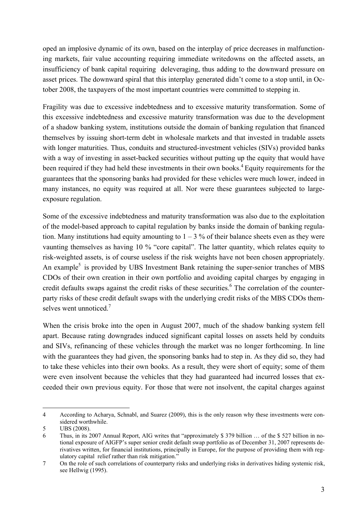oped an implosive dynamic of its own, based on the interplay of price decreases in malfunctioning markets, fair value accounting requiring immediate writedowns on the affected assets, an insufficiency of bank capital requiring deleveraging, thus adding to the downward pressure on asset prices. The downward spiral that this interplay generated didn't come to a stop until, in October 2008, the taxpayers of the most important countries were committed to stepping in.

Fragility was due to excessive indebtedness and to excessive maturity transformation. Some of this excessive indebtedness and excessive maturity transformation was due to the development of a shadow banking system, institutions outside the domain of banking regulation that financed themselves by issuing short-term debt in wholesale markets and that invested in tradable assets with longer maturities. Thus, conduits and structured-investment vehicles (SIVs) provided banks with a way of investing in asset-backed securities without putting up the equity that would have been required if they had held these investments in their own books.<sup>4</sup> Equity requirements for the guarantees that the sponsoring banks had provided for these vehicles were much lower, indeed in many instances, no equity was required at all. Nor were these guarantees subjected to largeexposure regulation.

Some of the excessive indebtedness and maturity transformation was also due to the exploitation of the model-based approach to capital regulation by banks inside the domain of banking regulation. Many institutions had equity amounting to  $1 - 3$  % of their balance sheets even as they were vaunting themselves as having 10 % "core capital". The latter quantity, which relates equity to risk-weighted assets, is of course useless if the risk weights have not been chosen appropriately. An example<sup>5</sup> is provided by UBS Investment Bank retaining the super-senior tranches of MBS CDOs of their own creation in their own portfolio and avoiding capital charges by engaging in credit defaults swaps against the credit risks of these securities.<sup>6</sup> The correlation of the counterparty risks of these credit default swaps with the underlying credit risks of the MBS CDOs themselves went unnoticed<sup>7</sup>

When the crisis broke into the open in August 2007, much of the shadow banking system fell apart. Because rating downgrades induced significant capital losses on assets held by conduits and SIVs, refinancing of these vehicles through the market was no longer forthcoming. In line with the guarantees they had given, the sponsoring banks had to step in. As they did so, they had to take these vehicles into their own books. As a result, they were short of equity; some of them were even insolvent because the vehicles that they had guaranteed had incurred losses that exceeded their own previous equity. For those that were not insolvent, the capital charges against

<sup>-</sup>4 According to Acharya, Schnabl, and Suarez (2009), this is the only reason why these investments were considered worthwhile.

<sup>5</sup> UBS (2008).

<sup>6</sup> Thus, in its 2007 Annual Report, AIG writes that "approximately \$ 379 billion … of the \$ 527 billion in notional exposure of AIGFP's super senior credit default swap portfolio as of December 31, 2007 represents derivatives written, for financial institutions, principally in Europe, for the purpose of providing them with regulatory capital relief rather than risk mitigation."

<sup>7</sup> On the role of such correlations of counterparty risks and underlying risks in derivatives hiding systemic risk, see Hellwig (1995).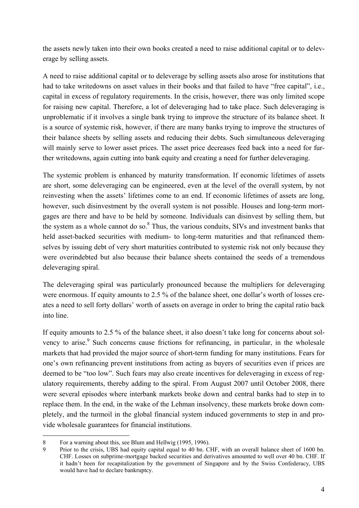the assets newly taken into their own books created a need to raise additional capital or to deleverage by selling assets.

A need to raise additional capital or to deleverage by selling assets also arose for institutions that had to take writedowns on asset values in their books and that failed to have "free capital", i.e., capital in excess of regulatory requirements. In the crisis, however, there was only limited scope for raising new capital. Therefore, a lot of deleveraging had to take place. Such deleveraging is unproblematic if it involves a single bank trying to improve the structure of its balance sheet. It is a source of systemic risk, however, if there are many banks trying to improve the structures of their balance sheets by selling assets and reducing their debts. Such simultaneous deleveraging will mainly serve to lower asset prices. The asset price decreases feed back into a need for further writedowns, again cutting into bank equity and creating a need for further deleveraging.

The systemic problem is enhanced by maturity transformation. If economic lifetimes of assets are short, some deleveraging can be engineered, even at the level of the overall system, by not reinvesting when the assets' lifetimes come to an end. If economic lifetimes of assets are long, however, such disinvestment by the overall system is not possible. Houses and long-term mortgages are there and have to be held by someone. Individuals can disinvest by selling them, but the system as a whole cannot do so.<sup>8</sup> Thus, the various conduits, SIVs and investment banks that held asset-backed securities with medium- to long-term maturities and that refinanced themselves by issuing debt of very short maturities contributed to systemic risk not only because they were overindebted but also because their balance sheets contained the seeds of a tremendous deleveraging spiral.

The deleveraging spiral was particularly pronounced because the multipliers for deleveraging were enormous. If equity amounts to 2.5 % of the balance sheet, one dollar's worth of losses creates a need to sell forty dollars' worth of assets on average in order to bring the capital ratio back into line.

If equity amounts to 2.5 % of the balance sheet, it also doesn't take long for concerns about solvency to arise.<sup>9</sup> Such concerns cause frictions for refinancing, in particular, in the wholesale markets that had provided the major source of short-term funding for many institutions. Fears for one's own refinancing prevent institutions from acting as buyers of securities even if prices are deemed to be "too low". Such fears may also create incentives for deleveraging in excess of regulatory requirements, thereby adding to the spiral. From August 2007 until October 2008, there were several episodes where interbank markets broke down and central banks had to step in to replace them. In the end, in the wake of the Lehman insolvency, these markets broke down completely, and the turmoil in the global financial system induced governments to step in and provide wholesale guarantees for financial institutions.

<sup>8</sup> For a warning about this, see Blum and Hellwig (1995, 1996).

<sup>9</sup> Prior to the crisis, UBS had equity capital equal to 40 bn. CHF, with an overall balance sheet of 1600 bn. CHF. Losses on subprime-mortgage backed securities and derivatives amounted to well over 40 bn. CHF. If it hadn't been for recapitalization by the government of Singapore and by the Swiss Confederacy, UBS would have had to declare bankruptcy.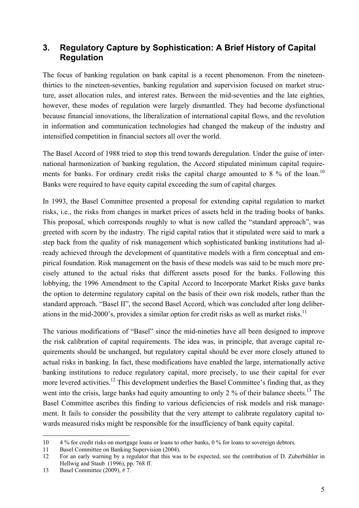### **3. Regulatory Capture by Sophistication: A Brief History of Capital Regulation**

The focus of banking regulation on bank capital is a recent phenomenon. From the nineteenthirties to the nineteen-seventies, banking regulation and supervision focused on market structure, asset allocation rules, and interest rates. Between the mid-seventies and the late eighties, however, these modes of regulation were largely dismantled. They had become dysfunctional because financial innovations, the liberalization of international capital flows, and the revolution in information and communication technologies had changed the makeup of the industry and intensified competition in financial sectors all over the world.

The Basel Accord of 1988 tried to stop this trend towards deregulation. Under the guise of international harmonization of banking regulation, the Accord stipulated minimum capital requirements for banks. For ordinary credit risks the capital charge amounted to 8  $\%$  of the loan.<sup>10</sup> Banks were required to have equity capital exceeding the sum of capital charges.

In 1993, the Basel Committee presented a proposal for extending capital regulation to market risks, i.e., the risks from changes in market prices of assets held in the trading books of banks. This proposal, which corresponds roughly to what is now called the "standard approach", was greeted with scorn by the industry. The rigid capital ratios that it stipulated were said to mark a step back from the quality of risk management which sophisticated banking institutions had already achieved through the development of quantitative models with a firm conceptual and empirical foundation. Risk management on the basis of these models was said to be much more precisely attuned to the actual risks that different assets posed for the banks. Following this lobbying, the 1996 Amendment to the Capital Accord to Incorporate Market Risks gave banks the option to determine regulatory capital on the basis of their own risk models, rather than the standard approach. "Basel II", the second Basel Accord, which was concluded after long deliberations in the mid-2000's, provides a similar option for credit risks as well as market risks.<sup>11</sup>

The various modifications of "Basel" since the mid-nineties have all been designed to improve the risk calibration of capital requirements. The idea was, in principle, that average capital requirements should be unchanged, but regulatory capital should be ever more closely attuned to actual risks in banking. In fact, these modifications have enabled the large, internationally active banking institutions to reduce regulatory capital, more precisely, to use their capital for ever more levered activities.<sup>12</sup> This development underlies the Basel Committee's finding that, as they went into the crisis, large banks had equity amounting to only 2 % of their balance sheets.<sup>13</sup> The Basel Committee ascribes this finding to various deficiencies of risk models and risk management. It fails to consider the possibility that the very attempt to calibrate regulatory capital towards measured risks might be responsible for the insufficiency of bank equity capital.

<sup>10 4 %</sup> for credit risks on mortgage loans or loans to other banks, 0 % for loans to sovereign debtors.

<sup>11</sup> Basel Committee on Banking Supervision (2004).

<sup>12</sup> For an early warning by a regulator that this was to be expected, see the contribution of D. Zuberbühler in Hellwig and Staub (1996), pp. 768 ff.

<sup>13</sup> Basel Committee (2009), # 7.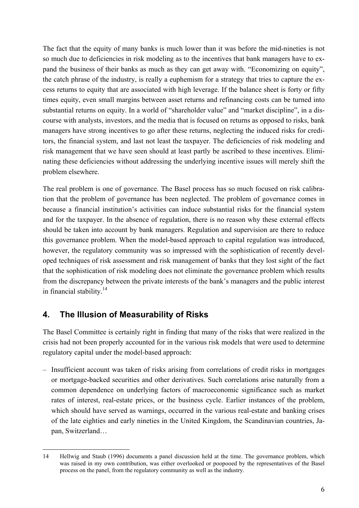The fact that the equity of many banks is much lower than it was before the mid-nineties is not so much due to deficiencies in risk modeling as to the incentives that bank managers have to expand the business of their banks as much as they can get away with. "Economizing on equity", the catch phrase of the industry, is really a euphemism for a strategy that tries to capture the excess returns to equity that are associated with high leverage. If the balance sheet is forty or fifty times equity, even small margins between asset returns and refinancing costs can be turned into substantial returns on equity. In a world of "shareholder value" and "market discipline", in a discourse with analysts, investors, and the media that is focused on returns as opposed to risks, bank managers have strong incentives to go after these returns, neglecting the induced risks for creditors, the financial system, and last not least the taxpayer. The deficiencies of risk modeling and risk management that we have seen should at least partly be ascribed to these incentives. Eliminating these deficiencies without addressing the underlying incentive issues will merely shift the problem elsewhere.

The real problem is one of governance. The Basel process has so much focused on risk calibration that the problem of governance has been neglected. The problem of governance comes in because a financial institution's activities can induce substantial risks for the financial system and for the taxpayer. In the absence of regulation, there is no reason why these external effects should be taken into account by bank managers. Regulation and supervision are there to reduce this governance problem. When the model-based approach to capital regulation was introduced, however, the regulatory community was so impressed with the sophistication of recently developed techniques of risk assessment and risk management of banks that they lost sight of the fact that the sophistication of risk modeling does not eliminate the governance problem which results from the discrepancy between the private interests of the bank's managers and the public interest in financial stability. $14$ 

# **4. The Illusion of Measurability of Risks**

The Basel Committee is certainly right in finding that many of the risks that were realized in the crisis had not been properly accounted for in the various risk models that were used to determine regulatory capital under the model-based approach:

– Insufficient account was taken of risks arising from correlations of credit risks in mortgages or mortgage-backed securities and other derivatives. Such correlations arise naturally from a common dependence on underlying factors of macroeconomic significance such as market rates of interest, real-estate prices, or the business cycle. Earlier instances of the problem, which should have served as warnings, occurred in the various real-estate and banking crises of the late eighties and early nineties in the United Kingdom, the Scandinavian countries, Japan, Switzerland…

<sup>-</sup>14 Hellwig and Staub (1996) documents a panel discussion held at the time. The governance problem, which was raised in my own contribution, was either overlooked or poopooed by the representatives of the Basel process on the panel, from the regulatory community as well as the industry.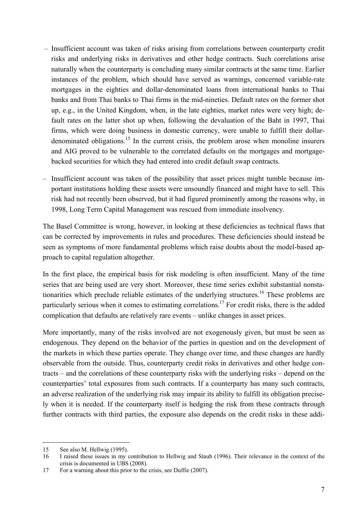- Insufficient account was taken of risks arising from correlations between counterparty credit risks and underlying risks in derivatives and other hedge contracts. Such correlations arise naturally when the counterparty is concluding many similar contracts at the same time. Earlier instances of the problem, which should have served as warnings, concerned variable-rate mortgages in the eighties and dollar-denominated loans from international banks to Thai banks and from Thai banks to Thai firms in the mid-nineties. Default rates on the former shot up, e.g., in the United Kingdom, when, in the late eighties, market rates were very high; default rates on the latter shot up when, following the devaluation of the Baht in 1997, Thai firms, which were doing business in domestic currency, were unable to fulfill their dollardenominated obligations.<sup>15</sup> In the current crisis, the problem arose when monoline insurers and AIG proved to be vulnerable to the correlated defaults on the mortgages and mortgagebacked securities for which they had entered into credit default swap contracts.
- Insufficient account was taken of the possibility that asset prices might tumble because important institutions holding these assets were unsoundly financed and might have to sell. This risk had not recently been observed, but it had figured prominently among the reasons why, in 1998, Long Term Capital Management was rescued from immediate insolvency.

The Basel Committee is wrong, however, in looking at these deficiencies as technical flaws that can be corrected by improvements in rules and procedures. These deficiencies should instead be seen as symptoms of more fundamental problems which raise doubts about the model-based approach to capital regulation altogether.

In the first place, the empirical basis for risk modeling is often insufficient. Many of the time series that are being used are very short. Moreover, these time series exhibit substantial nonstationarities which preclude reliable estimates of the underlying structures.<sup>16</sup> These problems are particularly serious when it comes to estimating correlations.17 For credit risks, there is the added complication that defaults are relatively rare events – unlike changes in asset prices.

More importantly, many of the risks involved are not exogenously given, but must be seen as endogenous. They depend on the behavior of the parties in question and on the development of the markets in which these parties operate. They change over time, and these changes are hardly observable from the outside. Thus, counterparty credit risks in derivatives and other hedge contracts – and the correlations of these counterparty risks with the underlying risks – depend on the counterparties' total exposures from such contracts. If a counterparty has many such contracts, an adverse realization of the underlying risk may impair its ability to fulfill its obligation precisely when it is needed. If the counterparty itself is hedging the risk from these contracts through further contracts with third parties, the exposure also depends on the credit risks in these addi-

<sup>-</sup>15 See also M. Hellwig (1995).

<sup>16</sup> I raised these issues in my contribution to Hellwig and Staub (1996). Their relevance in the context of the crisis is documented in UBS (2008).

<sup>17</sup> For a warning about this prior to the crisis, see Duffie (2007).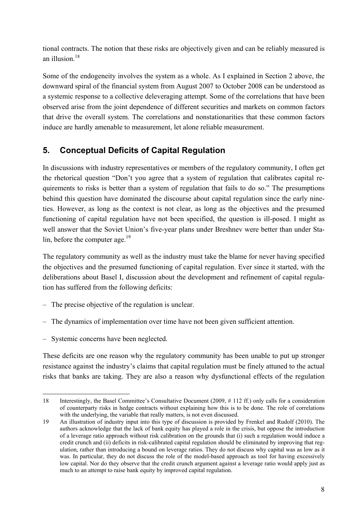tional contracts. The notion that these risks are objectively given and can be reliably measured is an illusion $18$ 

Some of the endogeneity involves the system as a whole. As I explained in Section 2 above, the downward spiral of the financial system from August 2007 to October 2008 can be understood as a systemic response to a collective deleveraging attempt. Some of the correlations that have been observed arise from the joint dependence of different securities and markets on common factors that drive the overall system. The correlations and nonstationarities that these common factors induce are hardly amenable to measurement, let alone reliable measurement.

# **5. Conceptual Deficits of Capital Regulation**

In discussions with industry representatives or members of the regulatory community, I often get the rhetorical question "Don't you agree that a system of regulation that calibrates capital requirements to risks is better than a system of regulation that fails to do so." The presumptions behind this question have dominated the discourse about capital regulation since the early nineties. However, as long as the context is not clear, as long as the objectives and the presumed functioning of capital regulation have not been specified, the question is ill-posed. I might as well answer that the Soviet Union's five-year plans under Breshnev were better than under Stalin, before the computer age. $^{19}$ 

The regulatory community as well as the industry must take the blame for never having specified the objectives and the presumed functioning of capital regulation. Ever since it started, with the deliberations about Basel I, discussion about the development and refinement of capital regulation has suffered from the following deficits:

- The precise objective of the regulation is unclear.
- The dynamics of implementation over time have not been given sufficient attention.
- Systemic concerns have been neglected.

These deficits are one reason why the regulatory community has been unable to put up stronger resistance against the industry's claims that capital regulation must be finely attuned to the actual risks that banks are taking. They are also a reason why dysfunctional effects of the regulation

<sup>-</sup>18 Interestingly, the Basel Committee's Consultative Document (2009, # 112 ff.) only calls for a consideration of counterparty risks in hedge contracts without explaining how this is to be done. The role of correlations with the underlying, the variable that really matters, is not even discussed.

<sup>19</sup> An illustration of industry input into this type of discussion is provided by Frenkel and Rudolf (2010). The authors acknowledge that the lack of bank equity has played a role in the crisis, but oppose the introduction of a leverage ratio approach without risk calibration on the grounds that (i) such a regulation would induce a credit crunch and (ii) deficits in risk-calibrated capital regulation should be eliminated by improving that regulation, rather than introducing a bound on leverage ratios. They do not discuss why capital was as low as it was. In particular, they do not discuss the role of the model-based approach as tool for having excessively low capital. Nor do they observe that the credit crunch argument against a leverage ratio would apply just as much to an attempt to raise bank equity by improved capital regulation.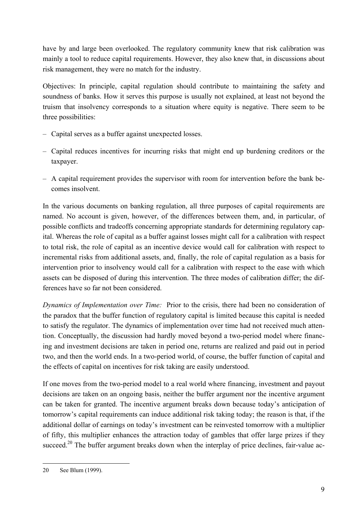have by and large been overlooked. The regulatory community knew that risk calibration was mainly a tool to reduce capital requirements. However, they also knew that, in discussions about risk management, they were no match for the industry.

Objectives: In principle, capital regulation should contribute to maintaining the safety and soundness of banks. How it serves this purpose is usually not explained, at least not beyond the truism that insolvency corresponds to a situation where equity is negative. There seem to be three possibilities:

- Capital serves as a buffer against unexpected losses.
- Capital reduces incentives for incurring risks that might end up burdening creditors or the taxpayer.
- A capital requirement provides the supervisor with room for intervention before the bank becomes insolvent.

In the various documents on banking regulation, all three purposes of capital requirements are named. No account is given, however, of the differences between them, and, in particular, of possible conflicts and tradeoffs concerning appropriate standards for determining regulatory capital. Whereas the role of capital as a buffer against losses might call for a calibration with respect to total risk, the role of capital as an incentive device would call for calibration with respect to incremental risks from additional assets, and, finally, the role of capital regulation as a basis for intervention prior to insolvency would call for a calibration with respect to the ease with which assets can be disposed of during this intervention. The three modes of calibration differ; the differences have so far not been considered.

*Dynamics of Implementation over Time:* Prior to the crisis, there had been no consideration of the paradox that the buffer function of regulatory capital is limited because this capital is needed to satisfy the regulator. The dynamics of implementation over time had not received much attention. Conceptually, the discussion had hardly moved beyond a two-period model where financing and investment decisions are taken in period one, returns are realized and paid out in period two, and then the world ends. In a two-period world, of course, the buffer function of capital and the effects of capital on incentives for risk taking are easily understood.

If one moves from the two-period model to a real world where financing, investment and payout decisions are taken on an ongoing basis, neither the buffer argument nor the incentive argument can be taken for granted. The incentive argument breaks down because today's anticipation of tomorrow's capital requirements can induce additional risk taking today; the reason is that, if the additional dollar of earnings on today's investment can be reinvested tomorrow with a multiplier of fifty, this multiplier enhances the attraction today of gambles that offer large prizes if they succeed.<sup>20</sup> The buffer argument breaks down when the interplay of price declines, fair-value ac-

<sup>20</sup> See Blum (1999).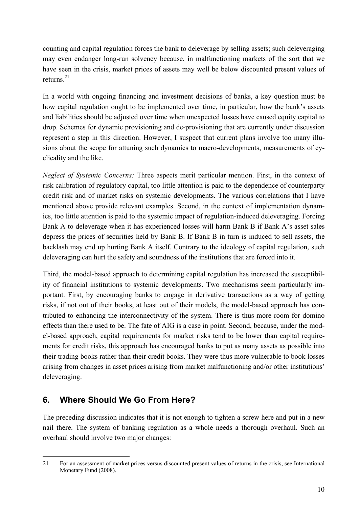counting and capital regulation forces the bank to deleverage by selling assets; such deleveraging may even endanger long-run solvency because, in malfunctioning markets of the sort that we have seen in the crisis, market prices of assets may well be below discounted present values of returns $^{21}$ 

In a world with ongoing financing and investment decisions of banks, a key question must be how capital regulation ought to be implemented over time, in particular, how the bank's assets and liabilities should be adjusted over time when unexpected losses have caused equity capital to drop. Schemes for dynamic provisioning and de-provisioning that are currently under discussion represent a step in this direction. However, I suspect that current plans involve too many illusions about the scope for attuning such dynamics to macro-developments, measurements of cyclicality and the like.

*Neglect of Systemic Concerns:* Three aspects merit particular mention. First, in the context of risk calibration of regulatory capital, too little attention is paid to the dependence of counterparty credit risk and of market risks on systemic developments. The various correlations that I have mentioned above provide relevant examples. Second, in the context of implementation dynamics, too little attention is paid to the systemic impact of regulation-induced deleveraging. Forcing Bank A to deleverage when it has experienced losses will harm Bank B if Bank A's asset sales depress the prices of securities held by Bank B. If Bank B in turn is induced to sell assets, the backlash may end up hurting Bank A itself. Contrary to the ideology of capital regulation, such deleveraging can hurt the safety and soundness of the institutions that are forced into it.

Third, the model-based approach to determining capital regulation has increased the susceptibility of financial institutions to systemic developments. Two mechanisms seem particularly important. First, by encouraging banks to engage in derivative transactions as a way of getting risks, if not out of their books, at least out of their models, the model-based approach has contributed to enhancing the interconnectivity of the system. There is thus more room for domino effects than there used to be. The fate of AIG is a case in point. Second, because, under the model-based approach, capital requirements for market risks tend to be lower than capital requirements for credit risks, this approach has encouraged banks to put as many assets as possible into their trading books rather than their credit books. They were thus more vulnerable to book losses arising from changes in asset prices arising from market malfunctioning and/or other institutions' deleveraging.

# **6. Where Should We Go From Here?**

The preceding discussion indicates that it is not enough to tighten a screw here and put in a new nail there. The system of banking regulation as a whole needs a thorough overhaul. Such an overhaul should involve two major changes:

<sup>-</sup>21 For an assessment of market prices versus discounted present values of returns in the crisis, see International Monetary Fund (2008).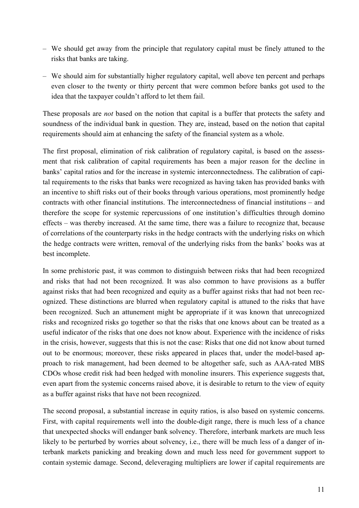- We should get away from the principle that regulatory capital must be finely attuned to the risks that banks are taking.
- We should aim for substantially higher regulatory capital, well above ten percent and perhaps even closer to the twenty or thirty percent that were common before banks got used to the idea that the taxpayer couldn't afford to let them fail.

These proposals are *not* based on the notion that capital is a buffer that protects the safety and soundness of the individual bank in question. They are, instead, based on the notion that capital requirements should aim at enhancing the safety of the financial system as a whole.

The first proposal, elimination of risk calibration of regulatory capital, is based on the assessment that risk calibration of capital requirements has been a major reason for the decline in banks' capital ratios and for the increase in systemic interconnectedness. The calibration of capital requirements to the risks that banks were recognized as having taken has provided banks with an incentive to shift risks out of their books through various operations, most prominently hedge contracts with other financial institutions. The interconnectedness of financial institutions – and therefore the scope for systemic repercussions of one institution's difficulties through domino effects – was thereby increased. At the same time, there was a failure to recognize that, because of correlations of the counterparty risks in the hedge contracts with the underlying risks on which the hedge contracts were written, removal of the underlying risks from the banks' books was at best incomplete.

In some prehistoric past, it was common to distinguish between risks that had been recognized and risks that had not been recognized. It was also common to have provisions as a buffer against risks that had been recognized and equity as a buffer against risks that had not been recognized. These distinctions are blurred when regulatory capital is attuned to the risks that have been recognized. Such an attunement might be appropriate if it was known that unrecognized risks and recognized risks go together so that the risks that one knows about can be treated as a useful indicator of the risks that one does not know about. Experience with the incidence of risks in the crisis, however, suggests that this is not the case: Risks that one did not know about turned out to be enormous; moreover, these risks appeared in places that, under the model-based approach to risk management, had been deemed to be altogether safe, such as AAA-rated MBS CDOs whose credit risk had been hedged with monoline insurers. This experience suggests that, even apart from the systemic concerns raised above, it is desirable to return to the view of equity as a buffer against risks that have not been recognized.

The second proposal, a substantial increase in equity ratios, is also based on systemic concerns. First, with capital requirements well into the double-digit range, there is much less of a chance that unexpected shocks will endanger bank solvency. Therefore, interbank markets are much less likely to be perturbed by worries about solvency, i.e., there will be much less of a danger of interbank markets panicking and breaking down and much less need for government support to contain systemic damage. Second, deleveraging multipliers are lower if capital requirements are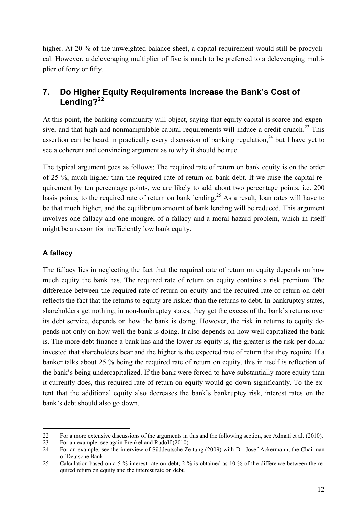higher. At 20 % of the unweighted balance sheet, a capital requirement would still be procyclical. However, a deleveraging multiplier of five is much to be preferred to a deleveraging multiplier of forty or fifty.

### **7. Do Higher Equity Requirements Increase the Bank's Cost of Lending?<sup>22</sup>**

At this point, the banking community will object, saying that equity capital is scarce and expensive, and that high and nonmanipulable capital requirements will induce a credit crunch.<sup>23</sup> This assertion can be heard in practically every discussion of banking regulation,  $24$  but I have yet to see a coherent and convincing argument as to why it should be true.

The typical argument goes as follows: The required rate of return on bank equity is on the order of 25 %, much higher than the required rate of return on bank debt. If we raise the capital requirement by ten percentage points, we are likely to add about two percentage points, i.e. 200 basis points, to the required rate of return on bank lending.<sup>25</sup> As a result, loan rates will have to be that much higher, and the equilibrium amount of bank lending will be reduced. This argument involves one fallacy and one mongrel of a fallacy and a moral hazard problem, which in itself might be a reason for inefficiently low bank equity.

#### **A fallacy**

The fallacy lies in neglecting the fact that the required rate of return on equity depends on how much equity the bank has. The required rate of return on equity contains a risk premium. The difference between the required rate of return on equity and the required rate of return on debt reflects the fact that the returns to equity are riskier than the returns to debt. In bankruptcy states, shareholders get nothing, in non-bankruptcy states, they get the excess of the bank's returns over its debt service, depends on how the bank is doing. However, the risk in returns to equity depends not only on how well the bank is doing. It also depends on how well capitalized the bank is. The more debt finance a bank has and the lower its equity is, the greater is the risk per dollar invested that shareholders bear and the higher is the expected rate of return that they require. If a banker talks about 25 % being the required rate of return on equity, this in itself is reflection of the bank's being undercapitalized. If the bank were forced to have substantially more equity than it currently does, this required rate of return on equity would go down significantly. To the extent that the additional equity also decreases the bank's bankruptcy risk, interest rates on the bank's debt should also go down.

<sup>-</sup>22 For a more extensive discussions of the arguments in this and the following section, see Admati et al. (2010).

<sup>23</sup> For an example, see again Frenkel and Rudolf (2010).

<sup>24</sup> For an example, see the interview of Süddeutsche Zeitung (2009) with Dr. Josef Ackermann, the Chairman of Deutsche Bank.

<sup>25</sup> Calculation based on a 5 % interest rate on debt; 2 % is obtained as 10 % of the difference between the required return on equity and the interest rate on debt.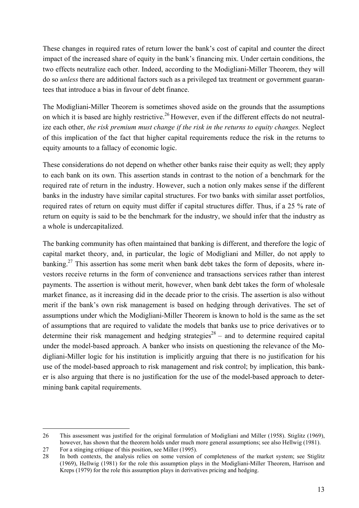These changes in required rates of return lower the bank's cost of capital and counter the direct impact of the increased share of equity in the bank's financing mix. Under certain conditions, the two effects neutralize each other. Indeed, according to the Modigliani-Miller Theorem, they will do so *unless* there are additional factors such as a privileged tax treatment or government guarantees that introduce a bias in favour of debt finance.

The Modigliani-Miller Theorem is sometimes shoved aside on the grounds that the assumptions on which it is based are highly restrictive.<sup>26</sup> However, even if the different effects do not neutralize each other, *the risk premium must change if the risk in the returns to equity changes.* Neglect of this implication of the fact that higher capital requirements reduce the risk in the returns to equity amounts to a fallacy of economic logic.

These considerations do not depend on whether other banks raise their equity as well; they apply to each bank on its own. This assertion stands in contrast to the notion of a benchmark for the required rate of return in the industry. However, such a notion only makes sense if the different banks in the industry have similar capital structures. For two banks with similar asset portfolios, required rates of return on equity must differ if capital structures differ. Thus, if a 25 % rate of return on equity is said to be the benchmark for the industry, we should infer that the industry as a whole is undercapitalized.

The banking community has often maintained that banking is different, and therefore the logic of capital market theory, and, in particular, the logic of Modigliani and Miller, do not apply to banking.<sup>27</sup> This assertion has some merit when bank debt takes the form of deposits, where investors receive returns in the form of convenience and transactions services rather than interest payments. The assertion is without merit, however, when bank debt takes the form of wholesale market finance, as it increasing did in the decade prior to the crisis. The assertion is also without merit if the bank's own risk management is based on hedging through derivatives. The set of assumptions under which the Modigliani-Miller Theorem is known to hold is the same as the set of assumptions that are required to validate the models that banks use to price derivatives or to determine their risk management and hedging strategies<sup>28</sup> – and to determine required capital under the model-based approach. A banker who insists on questioning the relevance of the Modigliani-Miller logic for his institution is implicitly arguing that there is no justification for his use of the model-based approach to risk management and risk control; by implication, this banker is also arguing that there is no justification for the use of the model-based approach to determining bank capital requirements.

<sup>-</sup>26 This assessment was justified for the original formulation of Modigliani and Miller (1958). Stiglitz (1969), however, has shown that the theorem holds under much more general assumptions; see also Hellwig (1981).

<sup>27</sup> For a stinging critique of this position, see Miller (1995).

<sup>28</sup> In both contexts, the analysis relies on some version of completeness of the market system; see Stiglitz (1969), Hellwig (1981) for the role this assumption plays in the Modigliani-Miller Theorem, Harrison and Kreps (1979) for the role this assumption plays in derivatives pricing and hedging.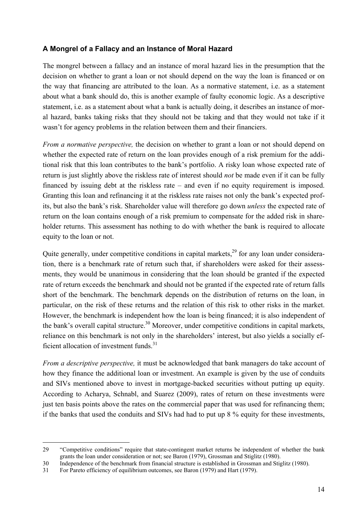#### **A Mongrel of a Fallacy and an Instance of Moral Hazard**

The mongrel between a fallacy and an instance of moral hazard lies in the presumption that the decision on whether to grant a loan or not should depend on the way the loan is financed or on the way that financing are attributed to the loan. As a normative statement, i.e. as a statement about what a bank should do, this is another example of faulty economic logic. As a descriptive statement, i.e. as a statement about what a bank is actually doing, it describes an instance of moral hazard, banks taking risks that they should not be taking and that they would not take if it wasn't for agency problems in the relation between them and their financiers.

*From a normative perspective,* the decision on whether to grant a loan or not should depend on whether the expected rate of return on the loan provides enough of a risk premium for the additional risk that this loan contributes to the bank's portfolio. A risky loan whose expected rate of return is just slightly above the riskless rate of interest should *not* be made even if it can be fully financed by issuing debt at the riskless rate – and even if no equity requirement is imposed. Granting this loan and refinancing it at the riskless rate raises not only the bank's expected profits, but also the bank's risk. Shareholder value will therefore go down *unless* the expected rate of return on the loan contains enough of a risk premium to compensate for the added risk in shareholder returns. This assessment has nothing to do with whether the bank is required to allocate equity to the loan or not.

Quite generally, under competitive conditions in capital markets, $2<sup>9</sup>$  for any loan under consideration, there is a benchmark rate of return such that, if shareholders were asked for their assessments, they would be unanimous in considering that the loan should be granted if the expected rate of return exceeds the benchmark and should not be granted if the expected rate of return falls short of the benchmark. The benchmark depends on the distribution of returns on the loan, in particular, on the risk of these returns and the relation of this risk to other risks in the market. However, the benchmark is independent how the loan is being financed; it is also independent of the bank's overall capital structure.<sup>30</sup> Moreover, under competitive conditions in capital markets, reliance on this benchmark is not only in the shareholders' interest, but also yields a socially efficient allocation of investment funds  $31$ 

*From a descriptive perspective,* it must be acknowledged that bank managers do take account of how they finance the additional loan or investment. An example is given by the use of conduits and SIVs mentioned above to invest in mortgage-backed securities without putting up equity. According to Acharya, Schnabl, and Suarez (2009), rates of return on these investments were just ten basis points above the rates on the commercial paper that was used for refinancing them; if the banks that used the conduits and SIVs had had to put up 8 % equity for these investments,

<sup>29 &</sup>quot;Competitive conditions" require that state-contingent market returns be independent of whether the bank grants the loan under consideration or not; see Baron (1979), Grossman and Stiglitz (1980).

<sup>30</sup> Independence of the benchmark from financial structure is established in Grossman and Stiglitz (1980).

<sup>31</sup> For Pareto efficiency of equilibrium outcomes, see Baron (1979) and Hart (1979).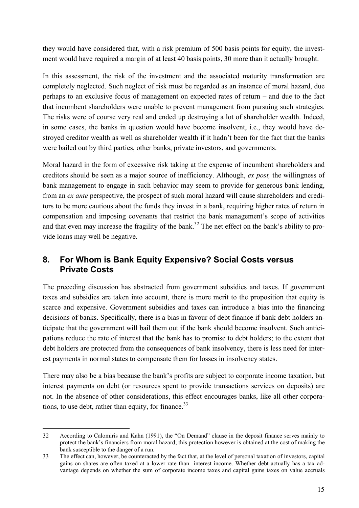they would have considered that, with a risk premium of 500 basis points for equity, the investment would have required a margin of at least 40 basis points, 30 more than it actually brought.

In this assessment, the risk of the investment and the associated maturity transformation are completely neglected. Such neglect of risk must be regarded as an instance of moral hazard, due perhaps to an exclusive focus of management on expected rates of return – and due to the fact that incumbent shareholders were unable to prevent management from pursuing such strategies. The risks were of course very real and ended up destroying a lot of shareholder wealth. Indeed, in some cases, the banks in question would have become insolvent, i.e., they would have destroyed creditor wealth as well as shareholder wealth if it hadn't been for the fact that the banks were bailed out by third parties, other banks, private investors, and governments.

Moral hazard in the form of excessive risk taking at the expense of incumbent shareholders and creditors should be seen as a major source of inefficiency. Although, *ex post,* the willingness of bank management to engage in such behavior may seem to provide for generous bank lending, from an *ex ante* perspective, the prospect of such moral hazard will cause shareholders and creditors to be more cautious about the funds they invest in a bank, requiring higher rates of return in compensation and imposing covenants that restrict the bank management's scope of activities and that even may increase the fragility of the bank.<sup>32</sup> The net effect on the bank's ability to provide loans may well be negative.

#### **8. For Whom is Bank Equity Expensive? Social Costs versus Private Costs**

The preceding discussion has abstracted from government subsidies and taxes. If government taxes and subsidies are taken into account, there is more merit to the proposition that equity is scarce and expensive. Government subsidies and taxes can introduce a bias into the financing decisions of banks. Specifically, there is a bias in favour of debt finance if bank debt holders anticipate that the government will bail them out if the bank should become insolvent. Such anticipations reduce the rate of interest that the bank has to promise to debt holders; to the extent that debt holders are protected from the consequences of bank insolvency, there is less need for interest payments in normal states to compensate them for losses in insolvency states.

There may also be a bias because the bank's profits are subject to corporate income taxation, but interest payments on debt (or resources spent to provide transactions services on deposits) are not. In the absence of other considerations, this effect encourages banks, like all other corporations, to use debt, rather than equity, for finance. $33$ 

<sup>-</sup>32 According to Calomiris and Kahn (1991), the "On Demand" clause in the deposit finance serves mainly to protect the bank's financiers from moral hazard; this protection however is obtained at the cost of making the bank susceptible to the danger of a run.

<sup>33</sup> The effect can, however, be counteracted by the fact that, at the level of personal taxation of investors, capital gains on shares are often taxed at a lower rate than interest income. Whether debt actually has a tax advantage depends on whether the sum of corporate income taxes and capital gains taxes on value accruals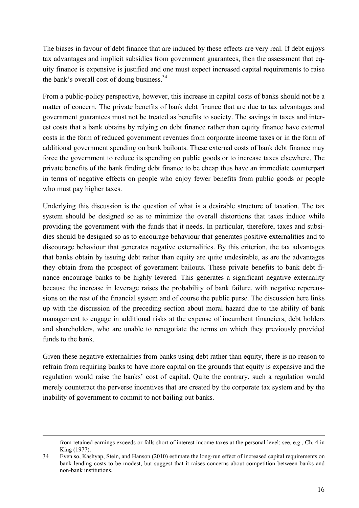The biases in favour of debt finance that are induced by these effects are very real. If debt enjoys tax advantages and implicit subsidies from government guarantees, then the assessment that equity finance is expensive is justified and one must expect increased capital requirements to raise the bank's overall cost of doing business.<sup>34</sup>

From a public-policy perspective, however, this increase in capital costs of banks should not be a matter of concern. The private benefits of bank debt finance that are due to tax advantages and government guarantees must not be treated as benefits to society. The savings in taxes and interest costs that a bank obtains by relying on debt finance rather than equity finance have external costs in the form of reduced government revenues from corporate income taxes or in the form of additional government spending on bank bailouts. These external costs of bank debt finance may force the government to reduce its spending on public goods or to increase taxes elsewhere. The private benefits of the bank finding debt finance to be cheap thus have an immediate counterpart in terms of negative effects on people who enjoy fewer benefits from public goods or people who must pay higher taxes.

Underlying this discussion is the question of what is a desirable structure of taxation. The tax system should be designed so as to minimize the overall distortions that taxes induce while providing the government with the funds that it needs. In particular, therefore, taxes and subsidies should be designed so as to encourage behaviour that generates positive externalities and to discourage behaviour that generates negative externalities. By this criterion, the tax advantages that banks obtain by issuing debt rather than equity are quite undesirable, as are the advantages they obtain from the prospect of government bailouts. These private benefits to bank debt finance encourage banks to be highly levered. This generates a significant negative externality because the increase in leverage raises the probability of bank failure, with negative repercussions on the rest of the financial system and of course the public purse. The discussion here links up with the discussion of the preceding section about moral hazard due to the ability of bank management to engage in additional risks at the expense of incumbent financiers, debt holders and shareholders, who are unable to renegotiate the terms on which they previously provided funds to the bank.

Given these negative externalities from banks using debt rather than equity, there is no reason to refrain from requiring banks to have more capital on the grounds that equity is expensive and the regulation would raise the banks' cost of capital. Quite the contrary, such a regulation would merely counteract the perverse incentives that are created by the corporate tax system and by the inability of government to commit to not bailing out banks.

from retained earnings exceeds or falls short of interest income taxes at the personal level; see, e.g., Ch. 4 in King (1977).

<sup>34</sup> Even so, Kashyap, Stein, and Hanson (2010) estimate the long-run effect of increased capital requirements on bank lending costs to be modest, but suggest that it raises concerns about competition between banks and non-bank institutions.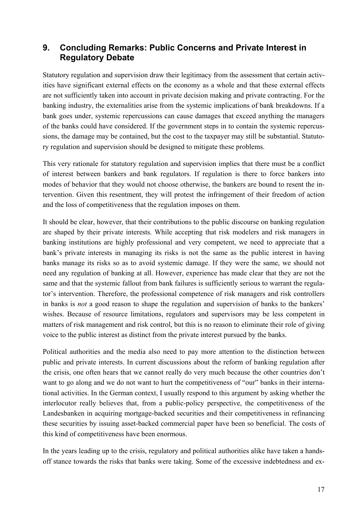### **9. Concluding Remarks: Public Concerns and Private Interest in Regulatory Debate**

Statutory regulation and supervision draw their legitimacy from the assessment that certain activities have significant external effects on the economy as a whole and that these external effects are not sufficiently taken into account in private decision making and private contracting. For the banking industry, the externalities arise from the systemic implications of bank breakdowns. If a bank goes under, systemic repercussions can cause damages that exceed anything the managers of the banks could have considered. If the government steps in to contain the systemic repercussions, the damage may be contained, but the cost to the taxpayer may still be substantial. Statutory regulation and supervision should be designed to mitigate these problems.

This very rationale for statutory regulation and supervision implies that there must be a conflict of interest between bankers and bank regulators. If regulation is there to force bankers into modes of behavior that they would not choose otherwise, the bankers are bound to resent the intervention. Given this resentment, they will protest the infringement of their freedom of action and the loss of competitiveness that the regulation imposes on them.

It should be clear, however, that their contributions to the public discourse on banking regulation are shaped by their private interests. While accepting that risk modelers and risk managers in banking institutions are highly professional and very competent, we need to appreciate that a bank's private interests in managing its risks is not the same as the public interest in having banks manage its risks so as to avoid systemic damage. If they were the same, we should not need any regulation of banking at all. However, experience has made clear that they are not the same and that the systemic fallout from bank failures is sufficiently serious to warrant the regulator's intervention. Therefore, the professional competence of risk managers and risk controllers in banks is *not* a good reason to shape the regulation and supervision of banks to the bankers' wishes. Because of resource limitations, regulators and supervisors may be less competent in matters of risk management and risk control, but this is no reason to eliminate their role of giving voice to the public interest as distinct from the private interest pursued by the banks.

Political authorities and the media also need to pay more attention to the distinction between public and private interests. In current discussions about the reform of banking regulation after the crisis, one often hears that we cannot really do very much because the other countries don't want to go along and we do not want to hurt the competitiveness of "our" banks in their international activities. In the German context, I usually respond to this argument by asking whether the interlocutor really believes that, from a public-policy perspective, the competitiveness of the Landesbanken in acquiring mortgage-backed securities and their competitiveness in refinancing these securities by issuing asset-backed commercial paper have been so beneficial. The costs of this kind of competitiveness have been enormous.

In the years leading up to the crisis, regulatory and political authorities alike have taken a handsoff stance towards the risks that banks were taking. Some of the excessive indebtedness and ex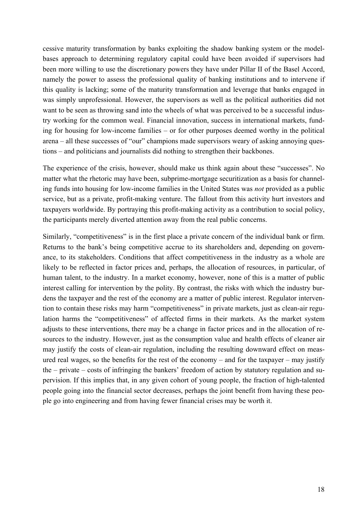cessive maturity transformation by banks exploiting the shadow banking system or the modelbases approach to determining regulatory capital could have been avoided if supervisors had been more willing to use the discretionary powers they have under Pillar II of the Basel Accord, namely the power to assess the professional quality of banking institutions and to intervene if this quality is lacking; some of the maturity transformation and leverage that banks engaged in was simply unprofessional. However, the supervisors as well as the political authorities did not want to be seen as throwing sand into the wheels of what was perceived to be a successful industry working for the common weal. Financial innovation, success in international markets, funding for housing for low-income families – or for other purposes deemed worthy in the political arena – all these successes of "our" champions made supervisors weary of asking annoying questions – and politicians and journalists did nothing to strengthen their backbones.

The experience of the crisis, however, should make us think again about these "successes". No matter what the rhetoric may have been, subprime-mortgage securitization as a basis for channeling funds into housing for low-income families in the United States was *not* provided as a public service, but as a private, profit-making venture. The fallout from this activity hurt investors and taxpayers worldwide. By portraying this profit-making activity as a contribution to social policy, the participants merely diverted attention away from the real public concerns.

Similarly, "competitiveness" is in the first place a private concern of the individual bank or firm. Returns to the bank's being competitive accrue to its shareholders and, depending on governance, to its stakeholders. Conditions that affect competitiveness in the industry as a whole are likely to be reflected in factor prices and, perhaps, the allocation of resources, in particular, of human talent, to the industry. In a market economy, however, none of this is a matter of public interest calling for intervention by the polity. By contrast, the risks with which the industry burdens the taxpayer and the rest of the economy are a matter of public interest. Regulator intervention to contain these risks may harm "competitiveness" in private markets, just as clean-air regulation harms the "competitiveness" of affected firms in their markets. As the market system adjusts to these interventions, there may be a change in factor prices and in the allocation of resources to the industry. However, just as the consumption value and health effects of cleaner air may justify the costs of clean-air regulation, including the resulting downward effect on measured real wages, so the benefits for the rest of the economy – and for the taxpayer – may justify the – private – costs of infringing the bankers' freedom of action by statutory regulation and supervision. If this implies that, in any given cohort of young people, the fraction of high-talented people going into the financial sector decreases, perhaps the joint benefit from having these people go into engineering and from having fewer financial crises may be worth it.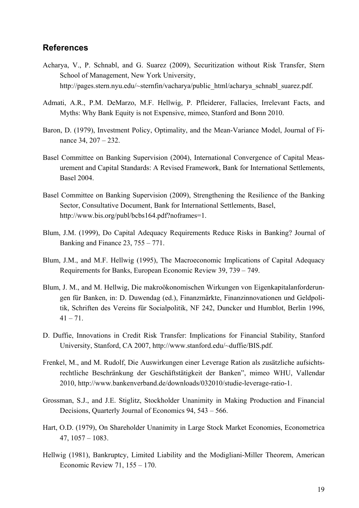#### **References**

- Acharya, V., P. Schnabl, and G. Suarez (2009), Securitization without Risk Transfer, Stern School of Management, New York University, http://pages.stern.nyu.edu/~sternfin/vacharya/public\_html/acharya\_schnabl\_suarez.pdf.
- Admati, A.R., P.M. DeMarzo, M.F. Hellwig, P. Pfleiderer, Fallacies, Irrelevant Facts, and Myths: Why Bank Equity is not Expensive, mimeo, Stanford and Bonn 2010.
- Baron, D. (1979), Investment Policy, Optimality, and the Mean-Variance Model, Journal of Finance 34, 207 – 232.
- Basel Committee on Banking Supervision (2004), International Convergence of Capital Measurement and Capital Standards: A Revised Framework, Bank for International Settlements, Basel 2004.
- Basel Committee on Banking Supervision (2009), Strengthening the Resilience of the Banking Sector, Consultative Document, Bank for International Settlements, Basel, http://www.bis.org/publ/bcbs164.pdf?noframes=1.
- Blum, J.M. (1999), Do Capital Adequacy Requirements Reduce Risks in Banking? Journal of Banking and Finance 23, 755 – 771.
- Blum, J.M., and M.F. Hellwig (1995), The Macroeconomic Implications of Capital Adequacy Requirements for Banks, European Economic Review 39, 739 – 749.
- Blum, J. M., and M. Hellwig, Die makroökonomischen Wirkungen von Eigenkapitalanforderungen für Banken, in: D. Duwendag (ed.), Finanzmärkte, Finanzinnovationen und Geldpolitik, Schriften des Vereins für Socialpolitik, NF 242, Duncker und Humblot, Berlin 1996,  $41 - 71$ .
- D. Duffie, Innovations in Credit Risk Transfer: Implications for Financial Stability, Stanford University, Stanford, CA 2007, http://www.stanford.edu/~duffie/BIS.pdf.
- Frenkel, M., and M. Rudolf, Die Auswirkungen einer Leverage Ration als zusätzliche aufsichtsrechtliche Beschränkung der Geschäftstätigkeit der Banken", mimeo WHU, Vallendar 2010, http://www.bankenverband.de/downloads/032010/studie-leverage-ratio-1.
- Grossman, S.J., and J.E. Stiglitz, Stockholder Unanimity in Making Production and Financial Decisions, Quarterly Journal of Economics 94, 543 – 566.
- Hart, O.D. (1979), On Shareholder Unanimity in Large Stock Market Economies, Econometrica 47, 1057 – 1083.
- Hellwig (1981), Bankruptcy, Limited Liability and the Modigliani-Miller Theorem, American Economic Review 71, 155 – 170.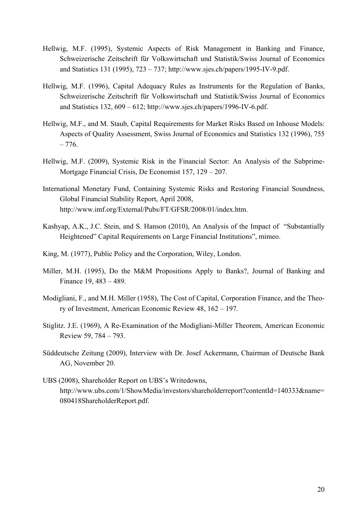- Hellwig, M.F. (1995), Systemic Aspects of Risk Management in Banking and Finance, Schweizerische Zeitschrift für Volkswirtschaft und Statistik/Swiss Journal of Economics and Statistics 131 (1995), 723 – 737; http://www.sjes.ch/papers/1995-IV-9.pdf.
- Hellwig, M.F. (1996), Capital Adequacy Rules as Instruments for the Regulation of Banks, Schweizerische Zeitschrift für Volkswirtschaft und Statistik/Swiss Journal of Economics and Statistics 132, 609 – 612; http://www.sjes.ch/papers/1996-IV-6.pdf.
- Hellwig, M.F., and M. Staub, Capital Requirements for Market Risks Based on Inhouse Models: Aspects of Quality Assessment, Swiss Journal of Economics and Statistics 132 (1996), 755 – 776.
- Hellwig, M.F. (2009), Systemic Risk in the Financial Sector: An Analysis of the Subprime-Mortgage Financial Crisis, De Economist 157, 129 – 207.
- International Monetary Fund, Containing Systemic Risks and Restoring Financial Soundness, Global Financial Stability Report, April 2008, http://www.imf.org/External/Pubs/FT/GFSR/2008/01/index.htm.
- Kashyap, A.K., J.C. Stein, and S. Hanson (2010), An Analysis of the Impact of "Substantially Heightened" Capital Requirements on Large Financial Institutions", mimeo.
- King, M. (1977), Public Policy and the Corporation, Wiley, London.
- Miller, M.H. (1995), Do the M&M Propositions Apply to Banks?, Journal of Banking and Finance 19, 483 – 489.
- Modigliani, F., and M.H. Miller (1958), The Cost of Capital, Corporation Finance, and the Theory of Investment, American Economic Review 48, 162 – 197.
- Stiglitz. J.E. (1969), A Re-Examination of the Modigliani-Miller Theorem, American Economic Review 59, 784 – 793.
- Süddeutsche Zeitung (2009), Interview with Dr. Josef Ackermann, Chairman of Deutsche Bank AG, November 20.
- UBS (2008), Shareholder Report on UBS's Writedowns, http://www.ubs.com/1/ShowMedia/investors/shareholderreport?contentId=140333&name= 080418ShareholderReport.pdf.